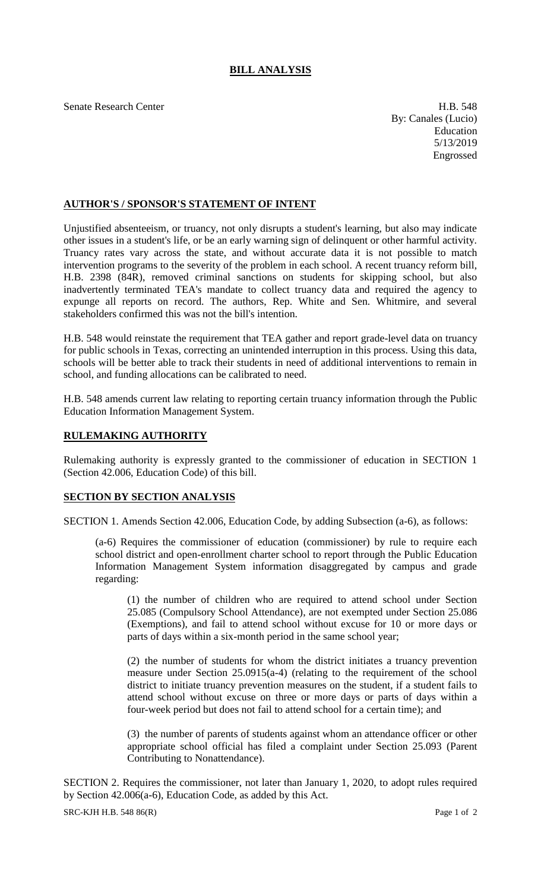## **BILL ANALYSIS**

Senate Research Center **H.B.** 548

By: Canales (Lucio) Education 5/13/2019 Engrossed

## **AUTHOR'S / SPONSOR'S STATEMENT OF INTENT**

Unjustified absenteeism, or truancy, not only disrupts a student's learning, but also may indicate other issues in a student's life, or be an early warning sign of delinquent or other harmful activity. Truancy rates vary across the state, and without accurate data it is not possible to match intervention programs to the severity of the problem in each school. A recent truancy reform bill, H.B. 2398 (84R), removed criminal sanctions on students for skipping school, but also inadvertently terminated TEA's mandate to collect truancy data and required the agency to expunge all reports on record. The authors, Rep. White and Sen. Whitmire, and several stakeholders confirmed this was not the bill's intention.

H.B. 548 would reinstate the requirement that TEA gather and report grade-level data on truancy for public schools in Texas, correcting an unintended interruption in this process. Using this data, schools will be better able to track their students in need of additional interventions to remain in school, and funding allocations can be calibrated to need.

H.B. 548 amends current law relating to reporting certain truancy information through the Public Education Information Management System.

## **RULEMAKING AUTHORITY**

Rulemaking authority is expressly granted to the commissioner of education in SECTION 1 (Section 42.006, Education Code) of this bill.

## **SECTION BY SECTION ANALYSIS**

SECTION 1. Amends Section 42.006, Education Code, by adding Subsection (a-6), as follows:

(a-6) Requires the commissioner of education (commissioner) by rule to require each school district and open-enrollment charter school to report through the Public Education Information Management System information disaggregated by campus and grade regarding:

(1) the number of children who are required to attend school under Section 25.085 (Compulsory School Attendance), are not exempted under Section 25.086 (Exemptions), and fail to attend school without excuse for 10 or more days or parts of days within a six-month period in the same school year;

(2) the number of students for whom the district initiates a truancy prevention measure under Section 25.0915(a-4) (relating to the requirement of the school district to initiate truancy prevention measures on the student, if a student fails to attend school without excuse on three or more days or parts of days within a four-week period but does not fail to attend school for a certain time); and

(3) the number of parents of students against whom an attendance officer or other appropriate school official has filed a complaint under Section 25.093 (Parent Contributing to Nonattendance).

SECTION 2. Requires the commissioner, not later than January 1, 2020, to adopt rules required by Section 42.006(a-6), Education Code, as added by this Act.